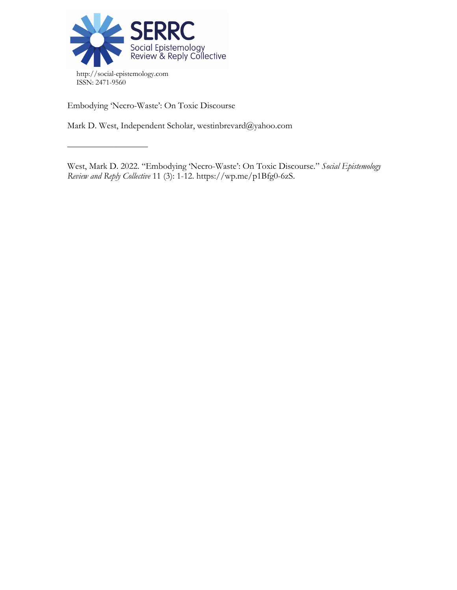

Embodying 'Necro-Waste': On Toxic Discourse

––––––––––––––––––

Mark D. West, Independent Scholar, westinbrevard@yahoo.com

West, Mark D. 2022. "Embodying 'Necro-Waste': On Toxic Discourse." *Social Epistemology Review and Reply Collective* 11 (3): 1-12. https://wp.me/p1Bfg0-6zS.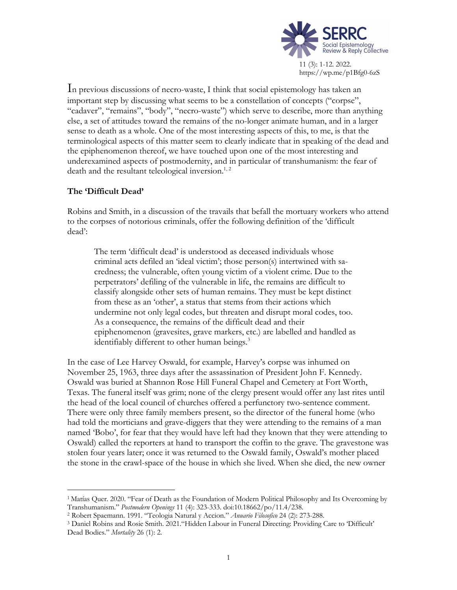

In previous discussions of necro-waste, I think that social epistemology has taken an important step by discussing what seems to be a constellation of concepts ("corpse", "cadaver", "remains", "body", "necro-waste") which serve to describe, more than anything else, a set of attitudes toward the remains of the no-longer animate human, and in a larger sense to death as a whole. One of the most interesting aspects of this, to me, is that the terminological aspects of this matter seem to clearly indicate that in speaking of the dead and the epiphenomenon thereof, we have touched upon one of the most interesting and underexamined aspects of postmodernity, and in particular of transhumanism: the fear of death and the resultant teleological inversion.<sup>1, 2</sup>

# **The 'Difficult Dead'**

Robins and Smith, in a discussion of the travails that befall the mortuary workers who attend to the corpses of notorious criminals, offer the following definition of the 'difficult dead':

The term 'difficult dead' is understood as deceased individuals whose criminal acts defiled an 'ideal victim'; those person(s) intertwined with sacredness; the vulnerable, often young victim of a violent crime. Due to the perpetrators' defiling of the vulnerable in life, the remains are difficult to classify alongside other sets of human remains. They must be kept distinct from these as an 'other', a status that stems from their actions which undermine not only legal codes, but threaten and disrupt moral codes, too. As a consequence, the remains of the difficult dead and their epiphenomenon (gravesites, grave markers, etc.) are labelled and handled as identifiably different to other human beings.<sup>3</sup>

In the case of Lee Harvey Oswald, for example, Harvey's corpse was inhumed on November 25, 1963, three days after the assassination of President John F. Kennedy. Oswald was buried at Shannon Rose Hill Funeral Chapel and Cemetery at Fort Worth, Texas. The funeral itself was grim; none of the clergy present would offer any last rites until the head of the local council of churches offered a perfunctory two-sentence comment. There were only three family members present, so the director of the funeral home (who had told the morticians and grave-diggers that they were attending to the remains of a man named 'Bobo', for fear that they would have left had they known that they were attending to Oswald) called the reporters at hand to transport the coffin to the grave. The gravestone was stolen four years later; once it was returned to the Oswald family, Oswald's mother placed the stone in the crawl-space of the house in which she lived. When she died, the new owner

<sup>1</sup> Matías Quer. 2020. "Fear of Death as the Foundation of Modern Political Philosophy and Its Overcoming by Transhumanism." *Postmodern Openings* 11 (4): 323-333. doi:10.18662/po/11.4/238.

<sup>2</sup> Robert Spaemann. 1991. "Teologia Natural y Accion." *Anuario Filosofico* 24 (2): 273-288.

<sup>3</sup> Daniel Robins and Rosie Smith. 2021."Hidden Labour in Funeral Directing: Providing Care to 'Difficult' Dead Bodies." *Mortality* 26 (1): 2.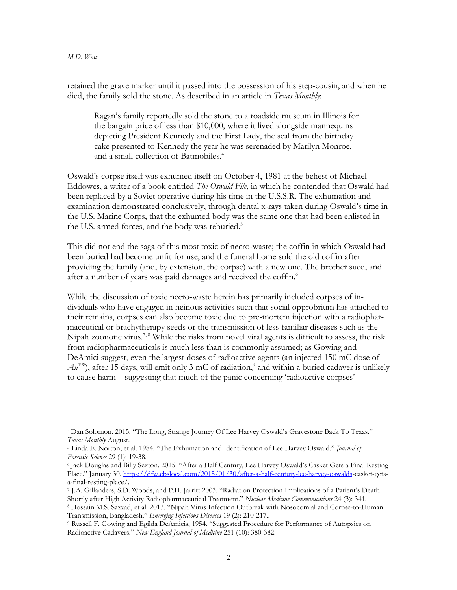retained the grave marker until it passed into the possession of his step-cousin, and when he died, the family sold the stone. As described in an article in *Texas Monthly*:

Ragan's family reportedly sold the stone to a roadside museum in Illinois for the bargain price of less than \$10,000, where it lived alongside mannequins depicting President Kennedy and the First Lady, the seal from the birthday cake presented to Kennedy the year he was serenaded by Marilyn Monroe, and a small collection of Batmobiles.<sup>4</sup>

Oswald's corpse itself was exhumed itself on October 4, 1981 at the behest of Michael Eddowes, a writer of a book entitled *The Oswald File*, in which he contended that Oswald had been replaced by a Soviet operative during his time in the U.S.S.R. The exhumation and examination demonstrated conclusively, through dental x-rays taken during Oswald's time in the U.S. Marine Corps, that the exhumed body was the same one that had been enlisted in the U.S. armed forces, and the body was reburied.<sup>5</sup>

This did not end the saga of this most toxic of necro-waste; the coffin in which Oswald had been buried had become unfit for use, and the funeral home sold the old coffin after providing the family (and, by extension, the corpse) with a new one. The brother sued, and after a number of years was paid damages and received the coffin.<sup>6</sup>

While the discussion of toxic necro-waste herein has primarily included corpses of individuals who have engaged in heinous activities such that social opprobrium has attached to their remains, corpses can also become toxic due to pre-mortem injection with a radiopharmaceutical or brachytherapy seeds or the transmission of less-familiar diseases such as the Nipah zoonotic virus.<sup>7,8</sup> While the risks from novel viral agents is difficult to assess, the risk from radiopharmaceuticals is much less than is commonly assumed; as Gowing and DeAmici suggest, even the largest doses of radioactive agents (an injected 150 mC dose of  $Au^{198}$ ), after 15 days, will emit only 3 mC of radiation,<sup>9</sup> and within a buried cadaver is unlikely to cause harm—suggesting that much of the panic concerning 'radioactive corpses'

<sup>4</sup> Dan Solomon. 2015. "The Long, Strange Journey Of Lee Harvey Oswald's Gravestone Back To Texas." *Texas Monthly* August.

<sup>5</sup> Linda E. Norton, et al. 1984. "The Exhumation and Identification of Lee Harvey Oswald." *Journal of Forensic Science* 29 (1): 19-38.

<sup>6</sup> Jack Douglas and Billy Sexton. 2015. "After a Half Century, Lee Harvey Oswald's Casket Gets a Final Resting Place." January 30. https://dfw.cbslocal.com/2015/01/30/after-a-half-century-lee-harvey-oswalds-casket-getsa-final-resting-place/.

<sup>7</sup> J.A. Gillanders, S.D. Woods, and P.H. Jarritt 2003. "Radiation Protection Implications of a Patient's Death Shortly after High Activity Radiopharmaceutical Treatment." *Nuclear Medicine Communications* 24 (3): 341.

<sup>8</sup> Hossain M.S. Sazzad, et al. 2013. "Nipah Virus Infection Outbreak with Nosocomial and Corpse-to-Human Transmission, Bangladesh." *Emerging Infectious Diseases* 19 (2): 210-217..

<sup>9</sup> Russell F. Gowing and Egilda DeAmicis, 1954. "Suggested Procedure for Performance of Autopsies on Radioactive Cadavers." *New England Journal of Medicine* 251 (10): 380-382.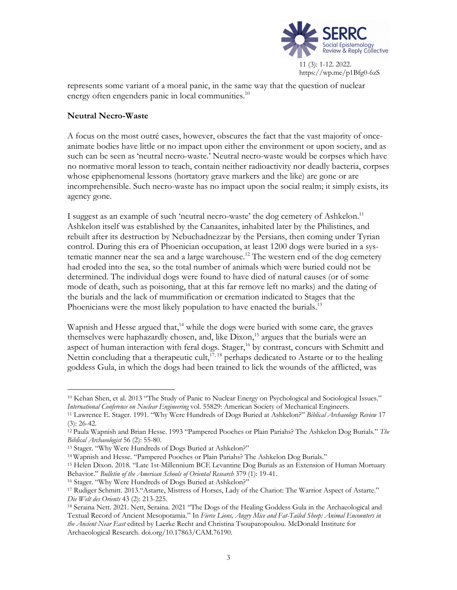

represents some variant of a moral panic, in the same way that the question of nuclear energy often engenders panic in local communities.<sup>10</sup>

### **Neutral Necro-Waste**

A focus on the most outré cases, however, obscures the fact that the vast majority of onceanimate bodies have little or no impact upon either the environment or upon society, and as such can be seen as 'neutral necro-waste.' Neutral necro-waste would be corpses which have no normative moral lesson to teach, contain neither radioactivity nor deadly bacteria, corpses whose epiphenomenal lessons (hortatory grave markers and the like) are gone or are incomprehensible. Such necro-waste has no impact upon the social realm; it simply exists, its agency gone.

I suggest as an example of such 'neutral necro-waste' the dog cemetery of Ashkelon.11 Ashkelon itself was established by the Canaanites, inhabited later by the Philistines, and rebuilt after its destruction by Nebuchadnezzar by the Persians, then coming under Tyrian control. During this era of Phoenician occupation, at least 1200 dogs were buried in a systematic manner near the sea and a large warehouse.<sup>12</sup> The western end of the dog cemetery had eroded into the sea, so the total number of animals which were buried could not be determined. The individual dogs were found to have died of natural causes (or of some mode of death, such as poisoning, that at this far remove left no marks) and the dating of the burials and the lack of mummification or cremation indicated to Stages that the Phoenicians were the most likely population to have enacted the burials.<sup>13</sup>

Wapnish and Hesse argued that,<sup>14</sup> while the dogs were buried with some care, the graves themselves were haphazardly chosen, and, like  $Dison<sub>15</sub>$  argues that the burials were an aspect of human interaction with feral dogs. Stager,<sup>16</sup> by contrast, concurs with Schmitt and Nettin concluding that a therapeutic cult,<sup>17, 18</sup> perhaps dedicated to Astarte or to the healing goddess Gula, in which the dogs had been trained to lick the wounds of the afflicted, was

<sup>10</sup> Kehan Shen, et al. 2013 "The Study of Panic to Nuclear Energy on Psychological and Sociological Issues." *International Conference on Nuclear Engineering* vol. 55829: American Society of Mechanical Engineers.

<sup>11</sup> Lawrence E. Stager. 1991. "Why Were Hundreds of Dogs Buried at Ashkelon?" *Biblical Archaeology Review* 17 (3): 26-42.

<sup>12</sup> Paula Wapnish and Brian Hesse. 1993 "Pampered Pooches or Plain Pariahs? The Ashkelon Dog Burials." *The Biblical Archaeologist* 56 (2): 55-80.

<sup>13</sup> Stager. "Why Were Hundreds of Dogs Buried at Ashkelon?"

<sup>14</sup> Wapnish and Hesse. "Pampered Pooches or Plain Pariahs? The Ashkelon Dog Burials."

<sup>15</sup> Helen Dixon. 2018. "Late 1st-Millennium BCE Levantine Dog Burials as an Extension of Human Mortuary Behavior." *Bulletin of the American Schools of Oriental Research* 379 (1): 19-41.

<sup>16</sup> Stager. "Why Were Hundreds of Dogs Buried at Ashkelon?"

<sup>17</sup> Rudiger Schmitt. 2013."Astarte, Mistress of Horses, Lady of the Chariot: The Warrior Aspect of Astarte." *Die Welt des Orients* 43 (2): 213-225.

<sup>18</sup> Seraina Nett. 2021. Nett, Seraina. 2021 "The Dogs of the Healing Goddess Gula in the Archaeological and Textual Record of Ancient Mesopotamia." In *Fierce Lions, Angry Mice and Fat-Tailed Sheep: Animal Encounters in the Ancient Near East* edited by Laerke Recht and Christina Tsouparopoulou. McDonald Institute for Archaeological Research. doi.org/10.17863/CAM.76190.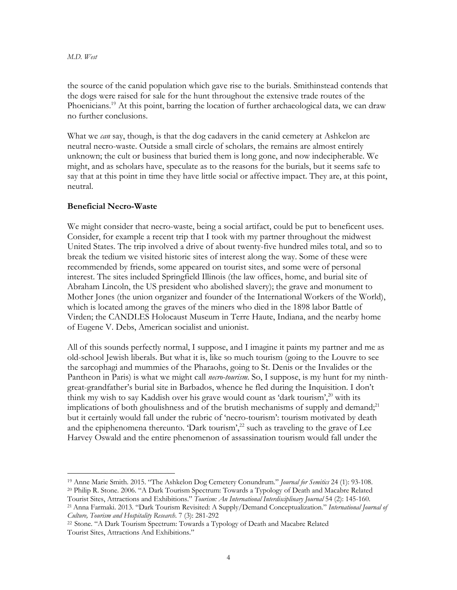the source of the canid population which gave rise to the burials. Smithinstead contends that the dogs were raised for sale for the hunt throughout the extensive trade routes of the Phoenicians.<sup>19</sup> At this point, barring the location of further archaeological data, we can draw no further conclusions.

What we *can* say, though, is that the dog cadavers in the canid cemetery at Ashkelon are neutral necro-waste. Outside a small circle of scholars, the remains are almost entirely unknown; the cult or business that buried them is long gone, and now indecipherable. We might, and as scholars have, speculate as to the reasons for the burials, but it seems safe to say that at this point in time they have little social or affective impact. They are, at this point, neutral.

### **Beneficial Necro-Waste**

We might consider that necro-waste, being a social artifact, could be put to beneficent uses. Consider, for example a recent trip that I took with my partner throughout the midwest United States. The trip involved a drive of about twenty-five hundred miles total, and so to break the tedium we visited historic sites of interest along the way. Some of these were recommended by friends, some appeared on tourist sites, and some were of personal interest. The sites included Springfield Illinois (the law offices, home, and burial site of Abraham Lincoln, the US president who abolished slavery); the grave and monument to Mother Jones (the union organizer and founder of the International Workers of the World), which is located among the graves of the miners who died in the 1898 labor Battle of Virden; the CANDLES Holocaust Museum in Terre Haute, Indiana, and the nearby home of Eugene V. Debs, American socialist and unionist.

All of this sounds perfectly normal, I suppose, and I imagine it paints my partner and me as old-school Jewish liberals. But what it is, like so much tourism (going to the Louvre to see the sarcophagi and mummies of the Pharaohs, going to St. Denis or the Invalides or the Pantheon in Paris) is what we might call *necro-tourism*. So, I suppose, is my hunt for my ninthgreat-grandfather's burial site in Barbados, whence he fled during the Inquisition. I don't think my wish to say Kaddish over his grave would count as 'dark tourism',<sup>20</sup> with its implications of both ghoulishness and of the brutish mechanisms of supply and demand;<sup>21</sup> but it certainly would fall under the rubric of 'necro-tourism': tourism motivated by death and the epiphenomena thereunto. 'Dark tourism',<sup>22</sup> such as traveling to the grave of Lee Harvey Oswald and the entire phenomenon of assassination tourism would fall under the

<sup>19</sup> Anne Marie Smith. 2015. "The Ashkelon Dog Cemetery Conundrum." *Journal for Semitics* 24 (1): 93-108. <sup>20</sup> Philip R. Stone. 2006. "A Dark Tourism Spectrum: Towards a Typology of Death and Macabre Related

Tourist Sites, Attractions and Exhibitions." *Tourism: An International Interdisciplinary Journal* 54 (2): 145-160.

<sup>21</sup>Anna Farmaki. 2013. "Dark Tourism Revisited: A Supply/Demand Conceptualization." *International Journal of Culture, Tourism and Hospitality Research*. 7 (3): 281-292

<sup>22</sup> Stone. "A Dark Tourism Spectrum: Towards a Typology of Death and Macabre Related Tourist Sites, Attractions And Exhibitions."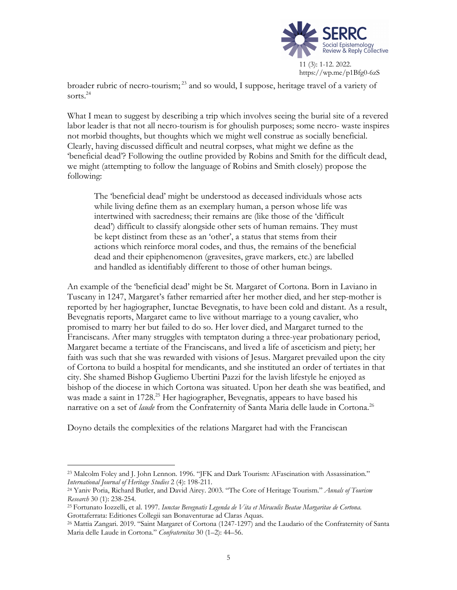

broader rubric of necro-tourism;<sup>23</sup> and so would, I suppose, heritage travel of a variety of sorts.<sup>24</sup>

What I mean to suggest by describing a trip which involves seeing the burial site of a revered labor leader is that not all necro-tourism is for ghoulish purposes; some necro- waste inspires not morbid thoughts, but thoughts which we might well construe as socially beneficial. Clearly, having discussed difficult and neutral corpses, what might we define as the 'beneficial dead'? Following the outline provided by Robins and Smith for the difficult dead, we might (attempting to follow the language of Robins and Smith closely) propose the following:

The 'beneficial dead' might be understood as deceased individuals whose acts while living define them as an exemplary human, a person whose life was intertwined with sacredness; their remains are (like those of the 'difficult dead') difficult to classify alongside other sets of human remains. They must be kept distinct from these as an 'other', a status that stems from their actions which reinforce moral codes, and thus, the remains of the beneficial dead and their epiphenomenon (gravesites, grave markers, etc.) are labelled and handled as identifiably different to those of other human beings.

An example of the 'beneficial dead' might be St. Margaret of Cortona. Born in Laviano in Tuscany in 1247, Margaret's father remarried after her mother died, and her step-mother is reported by her hagiographer, Iunctae Bevegnatis, to have been cold and distant. As a result, Bevegnatis reports, Margaret came to live without marriage to a young cavalier, who promised to marry her but failed to do so. Her lover died, and Margaret turned to the Franciscans. After many struggles with temptaton during a three-year probationary period, Margaret became a tertiate of the Franciscans, and lived a life of asceticism and piety; her faith was such that she was rewarded with visions of Jesus. Margaret prevailed upon the city of Cortona to build a hospital for mendicants, and she instituted an order of tertiates in that city. She shamed Bishop Gugliemo Ubertini Pazzi for the lavish lifestyle he enjoyed as bishop of the diocese in which Cortona was situated. Upon her death she was beatified, and was made a saint in 1728. <sup>25</sup> Her hagiographer, Bevegnatis, appears to have based his narrative on a set of *laude* from the Confraternity of Santa Maria delle laude in Cortona.<sup>26</sup>

Doyno details the complexities of the relations Margaret had with the Franciscan

<sup>23</sup> Malcolm Foley and J. John Lennon. 1996. "JFK and Dark Tourism: AFascination with Assassination." *International Journal of Heritage Studies* 2 (4): 198-211.

<sup>24</sup> Yaniv Poria, Richard Butler, and David Airey. 2003. "The Core of Heritage Tourism." *Annals of Tourism Research* 30 (1): 238-254.

<sup>25</sup> Fortunato Iozzelli, et al. 1997. *Iunctae Bevegnatis Legenda de Vita et Miraculis Beatae Margaritae de Cortona*. Grottaferrata: Editiones Collegii san Bonaventurae ad Claras Aquas.

<sup>26</sup> Mattia Zangari. 2019. "Saint Margaret of Cortona (1247-1297) and the Laudario of the Confraternity of Santa Maria delle Laude in Cortona." *Confraternitas* 30 (1–2): 44–56.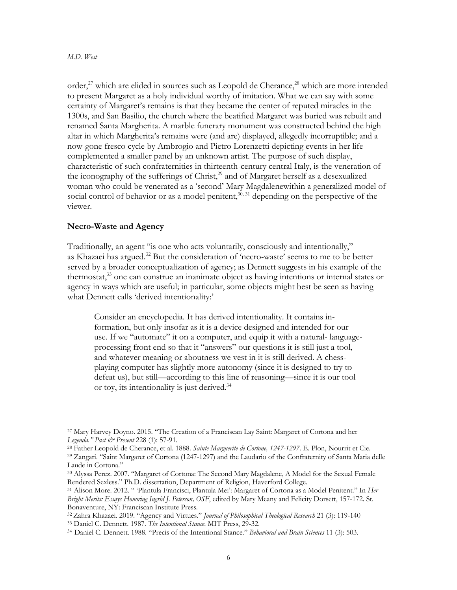order,<sup>27</sup> which are elided in sources such as Leopold de Cherance,<sup>28</sup> which are more intended to present Margaret as a holy individual worthy of imitation. What we can say with some certainty of Margaret's remains is that they became the center of reputed miracles in the 1300s, and San Basilio, the church where the beatified Margaret was buried was rebuilt and renamed Santa Margherita. A marble funerary monument was constructed behind the high altar in which Margherita's remains were (and are) displayed, allegedly incorruptible; and a now-gone fresco cycle by Ambrogio and Pietro Lorenzetti depicting events in her life complemented a smaller panel by an unknown artist. The purpose of such display, characteristic of such confraternities in thirteenth-century central Italy, is the veneration of the iconography of the sufferings of Christ,<sup>29</sup> and of Margaret herself as a desexualized woman who could be venerated as a 'second' Mary Magdalenewithin a generalized model of social control of behavior or as a model penitent, $30,31$  depending on the perspective of the viewer.

#### **Necro-Waste and Agency**

Traditionally, an agent "is one who acts voluntarily, consciously and intentionally," as Khazaei has argued.<sup>32</sup> But the consideration of 'necro-waste' seems to me to be better served by a broader conceptualization of agency; as Dennett suggests in his example of the thermostat,<sup>33</sup> one can construe an inanimate object as having intentions or internal states or agency in ways which are useful; in particular, some objects might best be seen as having what Dennett calls 'derived intentionality:'

Consider an encyclopedia. It has derived intentionality. It contains information, but only insofar as it is a device designed and intended for our use. If we "automate" it on a computer, and equip it with a natural- languageprocessing front end so that it "answers" our questions it is still just a tool, and whatever meaning or aboutness we vest in it is still derived. A chessplaying computer has slightly more autonomy (since it is designed to try to defeat us), but still—according to this line of reasoning—since it is our tool or toy, its intentionality is just derived.34

<sup>27</sup> Mary Harvey Doyno. 2015. "The Creation of a Franciscan Lay Saint: Margaret of Cortona and her *Legenda." Past & Present* 228 (1): 57-91.

<sup>28</sup> Father Leopold de Cherance, et al. 1888. *Sainte Marguerite de Cortone, 1247-1297*. E. Plon, Nourrit et Cie.

<sup>29</sup> Zangari. "Saint Margaret of Cortona (1247-1297) and the Laudario of the Confraternity of Santa Maria delle Laude in Cortona."

<sup>30</sup> Alyssa Perez. 2007. "Margaret of Cortona: The Second Mary Magdalene, A Model for the Sexual Female Rendered Sexless." Ph.D. dissertation, Department of Religion, Haverford College.

<sup>31</sup> Alison More. 2012. " 'Plantula Francisci, Plantula Mei': Margaret of Cortona as a Model Penitent." In *Her Bright Merits: Essays Honoring Ingrid J. Peterson, OSF*, edited by Mary Meany and Felicity Dorsett, 157-172. St. Bonaventure, NY: Franciscan Institute Press.

<sup>32</sup> Zahra Khazaei. 2019. "Agency and Virtues." *Journal of Philosophical Theological Research* 21 (3): 119-140

<sup>&</sup>lt;sup>33</sup> Daniel C. Dennett. 1987. *The Intentional Stance*. MIT Press, 29-32.<br><sup>34</sup> Daniel C. Dennett. 1988. "Precis of the Intentional Stance." Behavioral and Brain Sciences 11 (3): 503.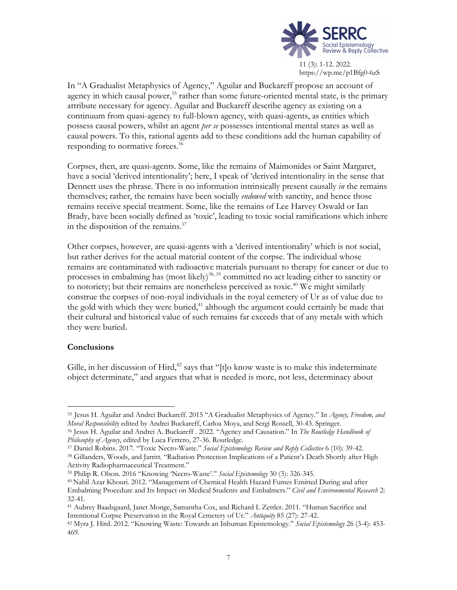

In "A Gradualist Metaphysics of Agency," Aguilar and Buckareff propose an account of agency in which causal power,<sup>35</sup> rather than some future-oriented mental state, is the primary attribute necessary for agency. Aguilar and Buckareff describe agency as existing on a continuum from quasi-agency to full-blown agency, with quasi-agents, as entities which possess causal powers, whilst an agent *per se* possesses intentional mental states as well as causal powers. To this, rational agents add to these conditions add the human capability of responding to normative forces.36

Corpses, then, are quasi-agents. Some, like the remains of Maimonides or Saint Margaret, have a social 'derived intentionality'; here, I speak of 'derived intentionality in the sense that Dennett uses the phrase. There is no information intrinsically present causally *in* the remains themselves; rather, the remains have been socially *endowed* with sanctity, and hence those remains receive special treatment. Some, like the remains of Lee Harvey Oswald or Ian Brady, have been socially defined as 'toxic', leading to toxic social ramifications which inhere in the disposition of the remains.<sup>37</sup>

Other corpses, however, are quasi-agents with a 'derived intentionality' which is not social, but rather derives for the actual material content of the corpse. The individual whose remains are contaminated with radioactive materials pursuant to therapy for cancer or due to processes in embalming has (most likely)<sup>38, 39</sup> committed no act leading either to sanctity or to notoriety; but their remains are nonetheless perceived as toxic.<sup>40</sup> We might similarly construe the corpses of non-royal individuals in the royal cemetery of Ur as of value due to the gold with which they were buried,<sup>41</sup> although the argument could certainly be made that their cultural and historical value of such remains far exceeds that of any metals with which they were buried.

#### **Conclusions**

Gille, in her discussion of Hird, $42$  says that "[t]o know waste is to make this indeterminate object determinate," and argues that what is needed is more, not less, determinacy about

Activity Radiopharmaceutical Treatment."

<sup>35</sup> Jesus H. Aguilar and Andrei Buckareff. 2015 "A Gradualist Metaphysics of Agency." In *Agency, Freedom, and Moral Responsibility* edited by Andrei Buckareff, Carloa Moya, and Sergi Rossell, 30-43. Springer.

<sup>36</sup> Jesus H. Aguilar and Andrei A. Buckareff . 2022. "Agency and Causation." In *The Routledge Handbook of Philosophy of Agency*, edited by Luca Ferrero, 27-36. Routledge.

<sup>37</sup> Daniel Robins. 2017. "Toxic Necro-Waste." *Social Epistemology Review and Reply Collective* 6 (10): 39-42. <sup>38</sup> Gillanders, Woods, and Jarritt. "Radiation Protection Implications of a Patient's Death Shortly after High

<sup>39</sup> Philip R. Olson. 2016 "Knowing 'Necro-Waste'." *Social Epistemology* 30 (3): 326-345.

<sup>40</sup> Nabil Azar Khouri. 2012. "Management of Chemical Health Hazard Fumes Emitted During and after Embalming Procedure and Its Impact on Medical Students and Embalmers." *Civil and Environmental Research* 2: 32-41.

<sup>41</sup> Aubrey Baadsgaard, Janet Monge, Samantha Cox, and Richard L Zettler. 2011. "Human Sacrifice and Intentional Corpse Preservation in the Royal Cemetery of Ur." *Antiquity* 85 (27): 27-42.

<sup>42</sup> Myra J. Hird. 2012. "Knowing Waste: Towards an Inhuman Epistemology." *Social Epistemology* 26 (3-4): 453- 469.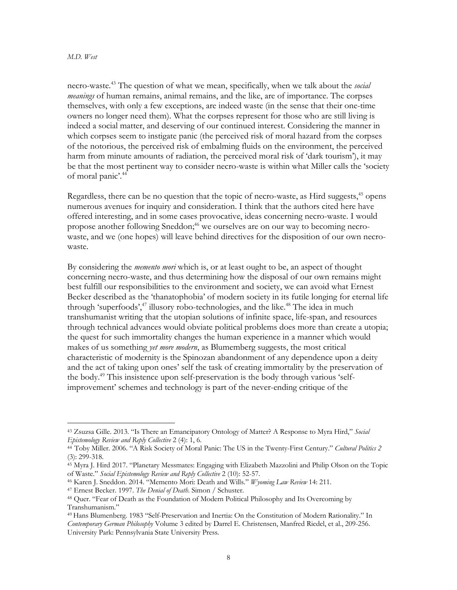necro-waste.43 The question of what we mean, specifically, when we talk about the *social meanings* of human remains, animal remains, and the like, are of importance. The corpses themselves, with only a few exceptions, are indeed waste (in the sense that their one-time owners no longer need them). What the corpses represent for those who are still living is indeed a social matter, and deserving of our continued interest. Considering the manner in which corpses seem to instigate panic (the perceived risk of moral hazard from the corpses of the notorious, the perceived risk of embalming fluids on the environment, the perceived harm from minute amounts of radiation, the perceived moral risk of 'dark tourism'), it may be that the most pertinent way to consider necro-waste is within what Miller calls the 'society of moral panic'. 44

Regardless, there can be no question that the topic of necro-waste, as Hird suggests,<sup>45</sup> opens numerous avenues for inquiry and consideration. I think that the authors cited here have offered interesting, and in some cases provocative, ideas concerning necro-waste. I would propose another following Sneddon;<sup>46</sup> we ourselves are on our way to becoming necrowaste, and we (one hopes) will leave behind directives for the disposition of our own necrowaste.

By considering the *memento mori* which is, or at least ought to be, an aspect of thought concerning necro-waste, and thus determining how the disposal of our own remains might best fulfill our responsibilities to the environment and society, we can avoid what Ernest Becker described as the 'thanatophobia' of modern society in its futile longing for eternal life through 'superfoods',<sup>47</sup> illusory robo-technologies, and the like.<sup>48</sup> The idea in much transhumanist writing that the utopian solutions of infinite space, life-span, and resources through technical advances would obviate political problems does more than create a utopia; the quest for such immortality changes the human experience in a manner which would makes of us something *yet more modern*, as Blumemberg suggests, the most critical characteristic of modernity is the Spinozan abandonment of any dependence upon a deity and the act of taking upon ones' self the task of creating immortality by the preservation of the body.49 This insistence upon self-preservation is the body through various 'selfimprovement' schemes and technology is part of the never-ending critique of the

<sup>43</sup> Zsuzsa Gille. 2013. "Is There an Emancipatory Ontology of Matter? A Response to Myra Hird," *Social Epistemology Review and Reply Collective* 2 (4): 1, 6.

<sup>44</sup> Toby Miller. 2006. "A Risk Society of Moral Panic: The US in the Twenty-First Century." *Cultural Politics 2* (3): 299-318.

<sup>45</sup> Myra J. Hird 2017. "Planetary Messmates: Engaging with Elizabeth Mazzolini and Philip Olson on the Topic of Waste." *Social Epistemology Review and Reply Collective* 2 (10): 52-57.

<sup>46</sup> Karen J. Sneddon. 2014. "Memento Mori: Death and Wills." *Wyoming Law Review* 14: 211.

<sup>47</sup> Ernest Becker. 1997. *The Denial of Death*. Simon / Schuster.

<sup>48</sup> Quer. "Fear of Death as the Foundation of Modern Political Philosophy and Its Overcoming by Transhumanism."

<sup>49</sup> Hans Blumenberg. 1983 "Self-Preservation and Inertia: On the Constitution of Modern Rationality." In *Contemporary German Philosophy* Volume 3 edited by Darrel E. Christensen, Manfred Riedel, et al., 209-256. University Park: Pennsylvania State University Press.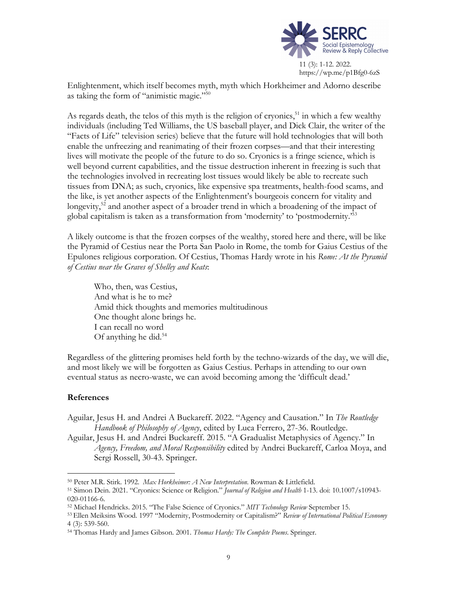

Enlightenment, which itself becomes myth, myth which Horkheimer and Adorno describe as taking the form of "animistic magic."50

As regards death, the telos of this myth is the religion of cryonics,<sup>51</sup> in which a few wealthy individuals (including Ted Williams, the US baseball player, and Dick Clair, the writer of the "Facts of Life" television series) believe that the future will hold technologies that will both enable the unfreezing and reanimating of their frozen corpses—and that their interesting lives will motivate the people of the future to do so. Cryonics is a fringe science, which is well beyond current capabilities, and the tissue destruction inherent in freezing is such that the technologies involved in recreating lost tissues would likely be able to recreate such tissues from DNA; as such, cryonics, like expensive spa treatments, health-food scams, and the like, is yet another aspects of the Enlightenment's bourgeois concern for vitality and longevity,<sup>52</sup> and another aspect of a broader trend in which a broadening of the impact of global capitalism is taken as a transformation from 'modernity' to 'postmodernity.' 53

A likely outcome is that the frozen corpses of the wealthy, stored here and there, will be like the Pyramid of Cestius near the Porta San Paolo in Rome, the tomb for Gaius Cestius of the Epulones religious corporation. Of Cestius, Thomas Hardy wrote in his *Rome: At the Pyramid of Cestius near the Graves of Shelley and Keats*:

Who, then, was Cestius, And what is he to me? Amid thick thoughts and memories multitudinous One thought alone brings he. I can recall no word Of anything he did.54

Regardless of the glittering promises held forth by the techno-wizards of the day, we will die, and most likely we will be forgotten as Gaius Cestius. Perhaps in attending to our own eventual status as necro-waste, we can avoid becoming among the 'difficult dead.'

## **References**

Aguilar, Jesus H. and Andrei A Buckareff. 2022. "Agency and Causation." In *The Routledge Handbook of Philosophy of Agency*, edited by Luca Ferrero, 27-36. Routledge.

Aguilar, Jesus H. and Andrei Buckareff. 2015. "A Gradualist Metaphysics of Agency." In *Agency, Freedom, and Moral Responsibility* edited by Andrei Buckareff, Carloa Moya, and Sergi Rossell, 30-43. Springer.

<sup>50</sup> Peter M.R. Stirk. 1992. *Max Horkheimer: A New Interpretation*. Rowman & Littlefield.

<sup>51</sup> Simon Dein. 2021. "Cryonics: Science or Religion." *Journal of Religion and Health* 1-13. doi: 10.1007/s10943- 020-01166-6.

<sup>52</sup> Michael Hendricks. 2015. "The False Science of Cryonics." *MIT Technology Review* September 15.

<sup>53</sup> Ellen Meiksins Wood. 1997 "Modernity, Postmodernity or Capitalism?" *Review of International Political Economy* 4 (3): 539-560.

<sup>54</sup> Thomas Hardy and James Gibson. 2001. *Thomas Hardy: The Complete Poems*. Springer.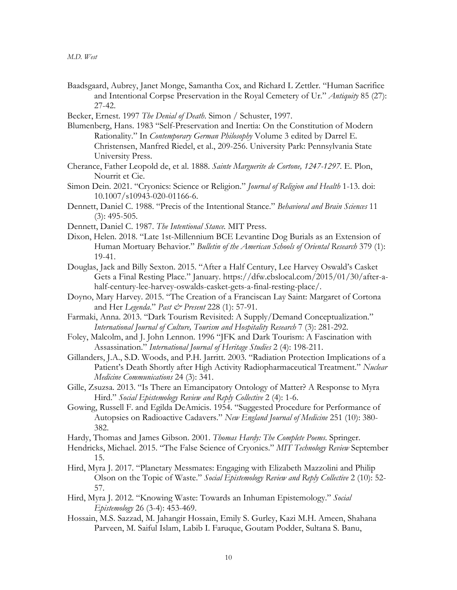- Baadsgaard, Aubrey, Janet Monge, Samantha Cox, and Richard L Zettler. "Human Sacrifice and Intentional Corpse Preservation in the Royal Cemetery of Ur." *Antiquity* 85 (27): 27-42.
- Becker, Ernest. 1997 *The Denial of Death*. Simon / Schuster, 1997.
- Blumenberg, Hans. 1983 "Self-Preservation and Inertia: On the Constitution of Modern Rationality." In *Contemporary German Philosophy* Volume 3 edited by Darrel E. Christensen, Manfred Riedel, et al., 209-256. University Park: Pennsylvania State University Press.
- Cherance, Father Leopold de, et al. 1888. *Sainte Marguerite de Cortone, 1247-1297.* E. Plon, Nourrit et Cie.
- Simon Dein. 2021. "Cryonics: Science or Religion." *Journal of Religion and Health* 1-13. doi: 10.1007/s10943-020-01166-6.
- Dennett, Daniel C. 1988. "Precis of the Intentional Stance." *Behavioral and Brain Sciences* 11 (3): 495-505.
- Dennett, Daniel C. 1987. *The Intentional Stance.* MIT Press.
- Dixon, Helen. 2018. "Late 1st-Millennium BCE Levantine Dog Burials as an Extension of Human Mortuary Behavior." *Bulletin of the American Schools of Oriental Research* 379 (1): 19-41.
- Douglas, Jack and Billy Sexton. 2015. "After a Half Century, Lee Harvey Oswald's Casket Gets a Final Resting Place." January. https://dfw.cbslocal.com/2015/01/30/after-ahalf-century-lee-harvey-oswalds-casket-gets-a-final-resting-place/.
- Doyno, Mary Harvey. 2015. "The Creation of a Franciscan Lay Saint: Margaret of Cortona and Her *Legenda*." *Past & Present* 228 (1): 57-91.
- Farmaki, Anna. 2013. "Dark Tourism Revisited: A Supply/Demand Conceptualization." *International Journal of Culture, Tourism and Hospitality Research* 7 (3): 281-292.
- Foley, Malcolm, and J. John Lennon. 1996 "JFK and Dark Tourism: A Fascination with Assassination." *International Journal of Heritage Studies* 2 (4): 198-211.
- Gillanders, J.A., S.D. Woods, and P.H. Jarritt. 2003. "Radiation Protection Implications of a Patient's Death Shortly after High Activity Radiopharmaceutical Treatment." *Nuclear Medicine Communications* 24 (3): 341.
- Gille, Zsuzsa. 2013. "Is There an Emancipatory Ontology of Matter? A Response to Myra Hird." *Social Epistemology Review and Reply Collective* 2 (4): 1-6.
- Gowing, Russell F. and Egilda DeAmicis. 1954. "Suggested Procedure for Performance of Autopsies on Radioactive Cadavers." *New England Journal of Medicine* 251 (10): 380- 382.
- Hardy, Thomas and James Gibson. 2001. *Thomas Hardy: The Complete Poems*. Springer.
- Hendricks, Michael. 2015. "The False Science of Cryonics." *MIT Technology Review* September 15.
- Hird, Myra J. 2017. "Planetary Messmates: Engaging with Elizabeth Mazzolini and Philip Olson on the Topic of Waste." *Social Epistemology Review and Reply Collective* 2 (10): 52- 57.
- Hird, Myra J. 2012. "Knowing Waste: Towards an Inhuman Epistemology." *Social Epistemology* 26 (3-4): 453-469.
- Hossain, M.S. Sazzad, M. Jahangir Hossain, Emily S. Gurley, Kazi M.H. Ameen, Shahana Parveen, M. Saiful Islam, Labib I. Faruque, Goutam Podder, Sultana S. Banu,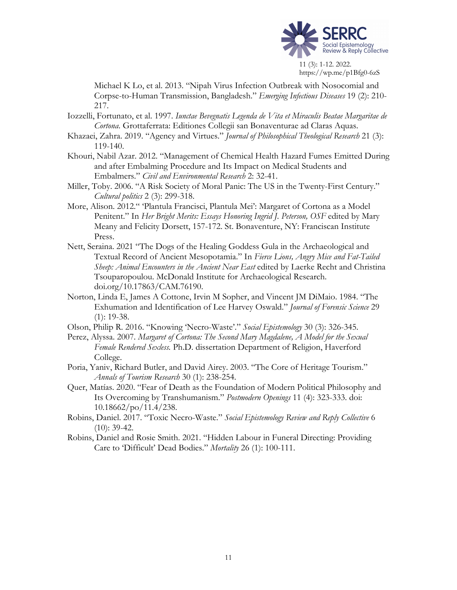

Michael K Lo, et al. 2013. "Nipah Virus Infection Outbreak with Nosocomial and Corpse-to-Human Transmission, Bangladesh." *Emerging Infectious Diseases* 19 (2): 210- 217.

- Iozzelli, Fortunato, et al. 1997. *Iunctae Bevegnatis Legenda de Vita et Miraculis Beatae Margaritae de Cortona*. Grottaferrata: Editiones Collegii san Bonaventurae ad Claras Aquas.
- Khazaei, Zahra. 2019. "Agency and Virtues." *Journal of Philosophical Theological Research* 21 (3): 119-140.
- Khouri, Nabil Azar. 2012. "Management of Chemical Health Hazard Fumes Emitted During and after Embalming Procedure and Its Impact on Medical Students and Embalmers." *Civil and Environmental Research* 2: 32-41.
- Miller, Toby. 2006. "A Risk Society of Moral Panic: The US in the Twenty-First Century." *Cultural politics* 2 (3): 299-318.
- More, Alison. 2012." 'Plantula Francisci, Plantula Mei': Margaret of Cortona as a Model Penitent." In *Her Bright Merits: Essays Honoring Ingrid J. Peterson, OSF* edited by Mary Meany and Felicity Dorsett, 157-172. St. Bonaventure, NY: Franciscan Institute Press.
- Nett, Seraina. 2021 "The Dogs of the Healing Goddess Gula in the Archaeological and Textual Record of Ancient Mesopotamia." In *Fierce Lions, Angry Mice and Fat-Tailed Sheep: Animal Encounters in the Ancient Near East* edited by Laerke Recht and Christina Tsouparopoulou. McDonald Institute for Archaeological Research. doi.org/10.17863/CAM.76190.
- Norton, Linda E, James A Cottone, Irvin M Sopher, and Vincent JM DiMaio. 1984. "The Exhumation and Identification of Lee Harvey Oswald." *Journal of Forensic Science* 29 (1): 19-38.
- Olson, Philip R. 2016. "Knowing 'Necro-Waste'." *Social Epistemology* 30 (3): 326-345.
- Perez, Alyssa. 2007. *Margaret of Cortona: The Second Mary Magdalene, A Model for the Sexual Female Rendered Sexless.* Ph.D. dissertation Department of Religion, Haverford College.
- Poria, Yaniv, Richard Butler, and David Airey. 2003. "The Core of Heritage Tourism." *Annals of Tourism Research* 30 (1): 238-254.
- Quer, Matías. 2020. "Fear of Death as the Foundation of Modern Political Philosophy and Its Overcoming by Transhumanism." *Postmodern Openings* 11 (4): 323-333. doi: 10.18662/po/11.4/238.
- Robins, Daniel. 2017. "Toxic Necro-Waste." *Social Epistemology Review and Reply Collective* 6  $(10): 39-42.$
- Robins, Daniel and Rosie Smith. 2021. "Hidden Labour in Funeral Directing: Providing Care to 'Difficult' Dead Bodies." *Mortality* 26 (1): 100-111.